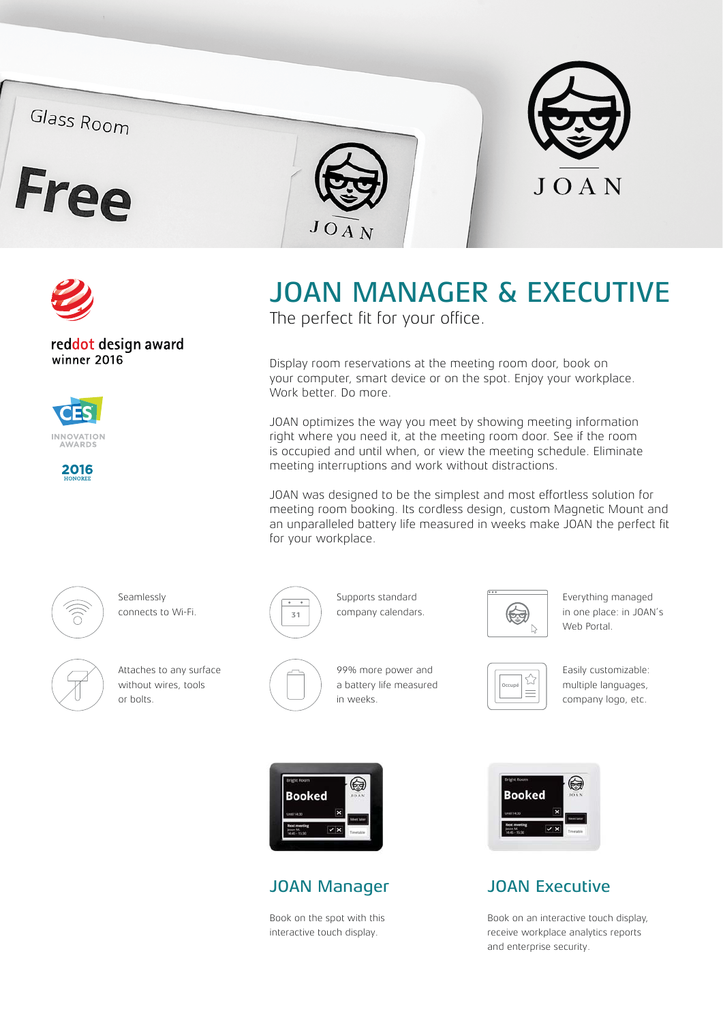## Glass Room









reddot design award winner 2016





# JOAN MANAGER & EXECUTIVE

The perfect fit for your office.

Display room reservations at the meeting room door, book on your computer, smart device or on the spot. Enjoy your workplace. Work better. Do more.

JOAN optimizes the way you meet by showing meeting information right where you need it, at the meeting room door. See if the room is occupied and until when, or view the meeting schedule. Eliminate meeting interruptions and work without distractions.

JOAN was designed to be the simplest and most effortless solution for meeting room booking. Its cordless design, custom Magnetic Mount and an unparalleled battery life measured in weeks make JOAN the perfect fit for your workplace.



Seamlessly connects to Wi-Fi.



Attaches to any surface without wires, tools or bolts.



Supports standard company calendars.

99% more power and a battery life measured

in weeks.



Everything managed in one place: in JOAN's Web Portal.



Easily customizable: multiple languages, company logo, etc.



#### JOAN Manager

Book on the spot with this interactive touch display.



## JOAN Executive

Book on an interactive touch display, receive workplace analytics reports and enterprise security.